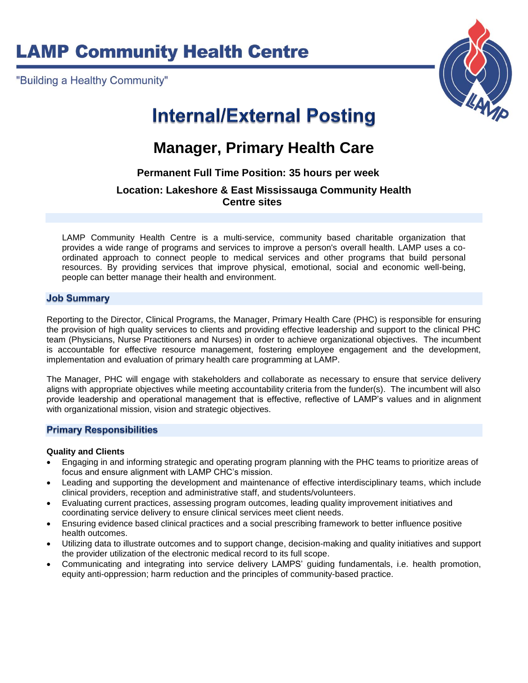# **LAMP Community Health Centre**

"Building a Healthy Community"



# **Internal/External Posting**

# **Manager, Primary Health Care**

## **Permanent Full Time Position: 35 hours per week**

### **Location: Lakeshore & East Mississauga Community Health Centre sites**

LAMP Community Health Centre is a multi-service, community based charitable organization that provides a wide range of programs and services to improve a person's overall health. LAMP uses a coordinated approach to connect people to medical services and other programs that build personal resources. By providing services that improve physical, emotional, social and economic well-being, people can better manage their health and environment.

#### **Job Summary**

Reporting to the Director, Clinical Programs, the Manager, Primary Health Care (PHC) is responsible for ensuring the provision of high quality services to clients and providing effective leadership and support to the clinical PHC team (Physicians, Nurse Practitioners and Nurses) in order to achieve organizational objectives. The incumbent is accountable for effective resource management, fostering employee engagement and the development, implementation and evaluation of primary health care programming at LAMP.

The Manager, PHC will engage with stakeholders and collaborate as necessary to ensure that service delivery aligns with appropriate objectives while meeting accountability criteria from the funder(s). The incumbent will also provide leadership and operational management that is effective, reflective of LAMP's values and in alignment with organizational mission, vision and strategic objectives.

#### **Primary Responsibilities**

#### **Quality and Clients**

- Engaging in and informing strategic and operating program planning with the PHC teams to prioritize areas of focus and ensure alignment with LAMP CHC's mission.
- Leading and supporting the development and maintenance of effective interdisciplinary teams, which include clinical providers, reception and administrative staff, and students/volunteers.
- Evaluating current practices, assessing program outcomes, leading quality improvement initiatives and coordinating service delivery to ensure clinical services meet client needs.
- Ensuring evidence based clinical practices and a social prescribing framework to better influence positive health outcomes.
- Utilizing data to illustrate outcomes and to support change, decision-making and quality initiatives and support the provider utilization of the electronic medical record to its full scope.
- Communicating and integrating into service delivery LAMPS' guiding fundamentals, i.e. health promotion, equity anti-oppression; harm reduction and the principles of community-based practice.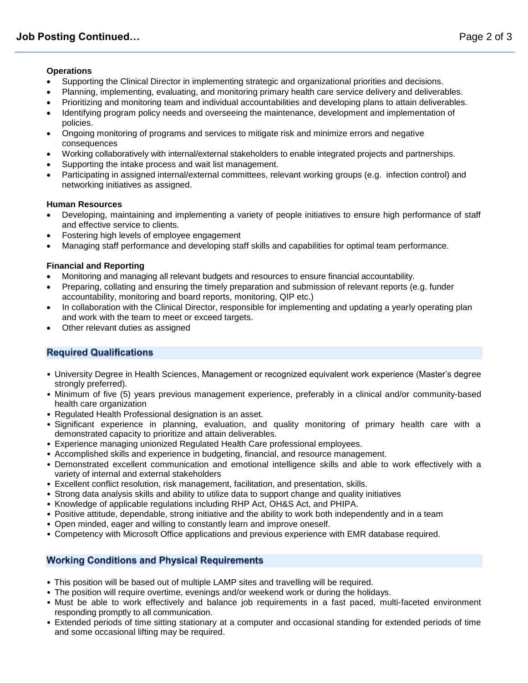#### **Operations**

- Supporting the Clinical Director in implementing strategic and organizational priorities and decisions.
- Planning, implementing, evaluating, and monitoring primary health care service delivery and deliverables.
- Prioritizing and monitoring team and individual accountabilities and developing plans to attain deliverables.
- Identifying program policy needs and overseeing the maintenance, development and implementation of policies.
- Ongoing monitoring of programs and services to mitigate risk and minimize errors and negative consequences
- Working collaboratively with internal/external stakeholders to enable integrated projects and partnerships.
- Supporting the intake process and wait list management.
- Participating in assigned internal/external committees, relevant working groups (e.g. infection control) and networking initiatives as assigned.

#### **Human Resources**

- Developing, maintaining and implementing a variety of people initiatives to ensure high performance of staff and effective service to clients.
- Fostering high levels of employee engagement
- Managing staff performance and developing staff skills and capabilities for optimal team performance.

#### **Financial and Reporting**

- Monitoring and managing all relevant budgets and resources to ensure financial accountability.
- Preparing, collating and ensuring the timely preparation and submission of relevant reports (e.g. funder accountability, monitoring and board reports, monitoring, QIP etc.)
- In collaboration with the Clinical Director, responsible for implementing and updating a yearly operating plan and work with the team to meet or exceed targets.
- Other relevant duties as assigned

### **Required Qualifications**

- University Degree in Health Sciences, Management or recognized equivalent work experience (Master's degree strongly preferred).
- Minimum of five (5) years previous management experience, preferably in a clinical and/or community-based health care organization
- Regulated Health Professional designation is an asset.
- Significant experience in planning, evaluation, and quality monitoring of primary health care with a demonstrated capacity to prioritize and attain deliverables.
- Experience managing unionized Regulated Health Care professional employees.
- Accomplished skills and experience in budgeting, financial, and resource management.
- Demonstrated excellent communication and emotional intelligence skills and able to work effectively with a variety of internal and external stakeholders
- Excellent conflict resolution, risk management, facilitation, and presentation, skills.
- Strong data analysis skills and ability to utilize data to support change and quality initiatives
- Knowledge of applicable regulations including RHP Act, OH&S Act, and PHIPA.
- Positive attitude, dependable, strong initiative and the ability to work both independently and in a team
- Open minded, eager and willing to constantly learn and improve oneself.
- Competency with Microsoft Office applications and previous experience with EMR database required.

#### **Working Conditions and Physical Requirements**

- This position will be based out of multiple LAMP sites and travelling will be required.
- The position will require overtime, evenings and/or weekend work or during the holidays.
- Must be able to work effectively and balance job requirements in a fast paced, multi-faceted environment responding promptly to all communication.
- Extended periods of time sitting stationary at a computer and occasional standing for extended periods of time and some occasional lifting may be required.